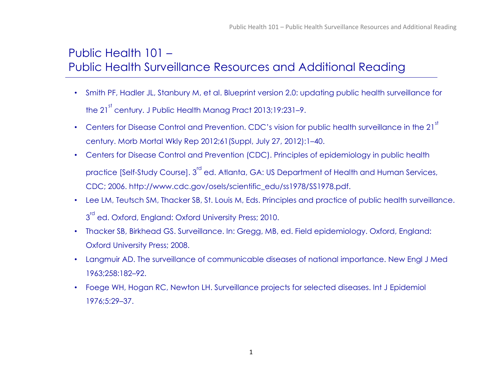## Public Health 101 – Public Health Surveillance Resources and Additional Reading

- Smith PF, Hadler JL, Stanbury M, et al. Blueprint version 2.0: updating public health surveillance for the 21<sup>st</sup> century. J Public Health Manag Pract 2013;19:231-9.
- Centers for Disease Control and Prevention. CDC's vision for public health surveillance in the 21<sup>st</sup> century. Morb Mortal Wkly Rep 2012;61(Suppl, July 27, 2012):1–40.
- Centers for Disease Control and Prevention (CDC). Principles of epidemiology in public health practice [Self-Study Course]. 3<sup>rd</sup> ed. Atlanta, GA: US Department of Health and Human Services, CDC; 2006. http://www.cdc.gov/osels/scientific\_edu/ss1978/SS1978.pdf.
- Lee LM, Teutsch SM, Thacker SB, St. Louis M, Eds. Principles and practice of public health surveillance. 3<sup>rd</sup> ed. Oxford, England: Oxford University Press; 2010.
- Thacker SB, Birkhead GS. Surveillance. In: Gregg, MB, ed. Field epidemiology. Oxford, England: Oxford University Press; 2008.
- Langmuir AD. The surveillance of communicable diseases of national importance. New Engl J Med 1963;258:182–92.
- Foege WH, Hogan RC, Newton LH. Surveillance projects for selected diseases. Int J Epidemiol 1976;5:29–37.